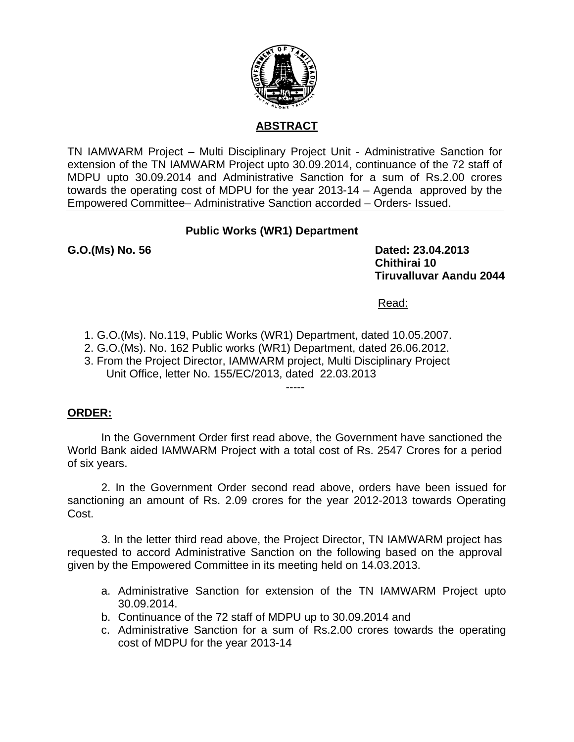

# **ABSTRACT**

TN IAMWARM Project – Multi Disciplinary Project Unit - Administrative Sanction for extension of the TN IAMWARM Project upto 30.09.2014, continuance of the 72 staff of MDPU upto 30.09.2014 and Administrative Sanction for a sum of Rs.2.00 crores towards the operating cost of MDPU for the year 2013-14 – Agenda approved by the Empowered Committee– Administrative Sanction accorded – Orders- Issued.

# **Public Works (WR1) Department**

G.O.(Ms) No. 56 **Dated: 23.04.2013 Chithirai 10 Tiruvalluvar Aandu 2044** 

Read:

- 1. G.O.(Ms). No.119, Public Works (WR1) Department, dated 10.05.2007.
- 2. G.O.(Ms). No. 162 Public works (WR1) Department, dated 26.06.2012.
- 3. From the Project Director, IAMWARM project, Multi Disciplinary Project Unit Office, letter No. 155/EC/2013, dated 22.03.2013

## -----

# **ORDER:**

 In the Government Order first read above, the Government have sanctioned the World Bank aided IAMWARM Project with a total cost of Rs. 2547 Crores for a period of six years.

2. In the Government Order second read above, orders have been issued for sanctioning an amount of Rs. 2.09 crores for the year 2012-2013 towards Operating Cost.

 3. ln the letter third read above, the Project Director, TN IAMWARM project has requested to accord Administrative Sanction on the following based on the approval given by the Empowered Committee in its meeting held on 14.03.2013.

- a. Administrative Sanction for extension of the TN IAMWARM Project upto 30.09.2014.
- b. Continuance of the 72 staff of MDPU up to 30.09.2014 and
- c. Administrative Sanction for a sum of Rs.2.00 crores towards the operating cost of MDPU for the year 2013-14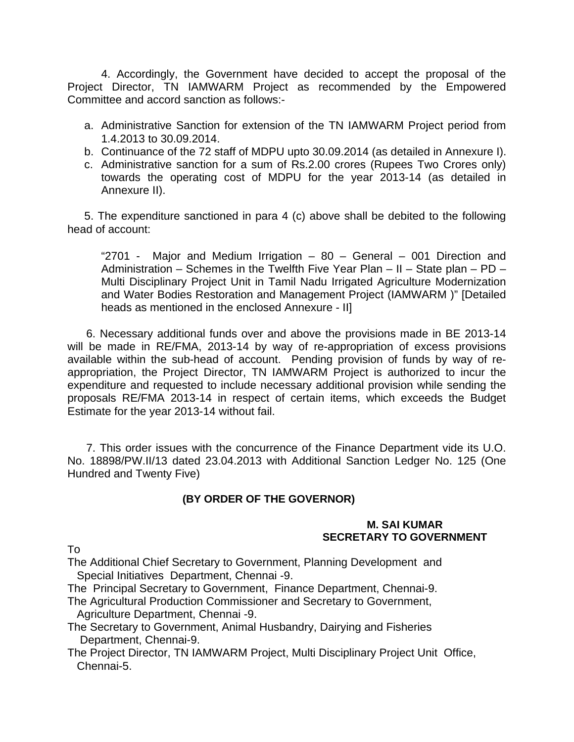4. Accordingly, the Government have decided to accept the proposal of the Project Director, TN IAMWARM Project as recommended by the Empowered Committee and accord sanction as follows:-

- a. Administrative Sanction for extension of the TN IAMWARM Project period from 1.4.2013 to 30.09.2014.
- b. Continuance of the 72 staff of MDPU upto 30.09.2014 (as detailed in Annexure I).
- c. Administrative sanction for a sum of Rs.2.00 crores (Rupees Two Crores only) towards the operating cost of MDPU for the year 2013-14 (as detailed in Annexure II).

5. The expenditure sanctioned in para 4 (c) above shall be debited to the following head of account:

"2701 - Major and Medium Irrigation – 80 – General – 001 Direction and Administration – Schemes in the Twelfth Five Year Plan – II – State plan – PD – Multi Disciplinary Project Unit in Tamil Nadu Irrigated Agriculture Modernization and Water Bodies Restoration and Management Project (IAMWARM )" [Detailed heads as mentioned in the enclosed Annexure - II]

 6. Necessary additional funds over and above the provisions made in BE 2013-14 will be made in RE/FMA, 2013-14 by way of re-appropriation of excess provisions available within the sub-head of account. Pending provision of funds by way of reappropriation, the Project Director, TN IAMWARM Project is authorized to incur the expenditure and requested to include necessary additional provision while sending the proposals RE/FMA 2013-14 in respect of certain items, which exceeds the Budget Estimate for the year 2013-14 without fail.

 7. This order issues with the concurrence of the Finance Department vide its U.O. No. 18898/PW.II/13 dated 23.04.2013 with Additional Sanction Ledger No. 125 (One Hundred and Twenty Five)

# **(BY ORDER OF THE GOVERNOR)**

## **M. SAI KUMAR SECRETARY TO GOVERNMENT**

To

The Additional Chief Secretary to Government, Planning Development and Special Initiatives Department, Chennai -9.

The Principal Secretary to Government, Finance Department, Chennai-9.

The Agricultural Production Commissioner and Secretary to Government, Agriculture Department, Chennai -9.

The Secretary to Government, Animal Husbandry, Dairying and Fisheries Department, Chennai-9.

The Project Director, TN IAMWARM Project, Multi Disciplinary Project Unit Office, Chennai-5.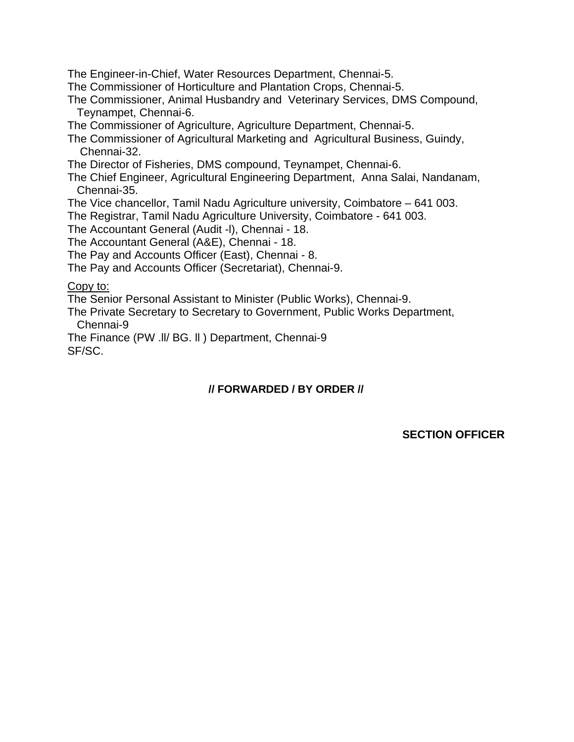The Engineer-in-Chief, Water Resources Department, Chennai-5.

The Commissioner of Horticulture and Plantation Crops, Chennai-5.

The Commissioner, Animal Husbandry and Veterinary Services, DMS Compound, Teynampet, Chennai-6.

The Commissioner of Agriculture, Agriculture Department, Chennai-5.

The Commissioner of Agricultural Marketing and Agricultural Business, Guindy, Chennai-32.

The Director of Fisheries, DMS compound, Teynampet, Chennai-6.

The Chief Engineer, Agricultural Engineering Department, Anna Salai, Nandanam, Chennai-35.

The Vice chancellor, Tamil Nadu Agriculture university, Coimbatore – 641 003.

The Registrar, Tamil Nadu Agriculture University, Coimbatore - 641 003.

The Accountant General (Audit -l), Chennai - 18.

The Accountant General (A&E), Chennai - 18.

The Pay and Accounts Officer (East), Chennai - 8.

The Pay and Accounts Officer (Secretariat), Chennai-9.

# Copy to:

The Senior Personal Assistant to Minister (Public Works), Chennai-9.

The Private Secretary to Secretary to Government, Public Works Department, Chennai-9

The Finance (PW .ll/ BG. ll ) Department, Chennai-9 SF/SC.

# **// FORWARDED / BY ORDER //**

**SECTION OFFICER**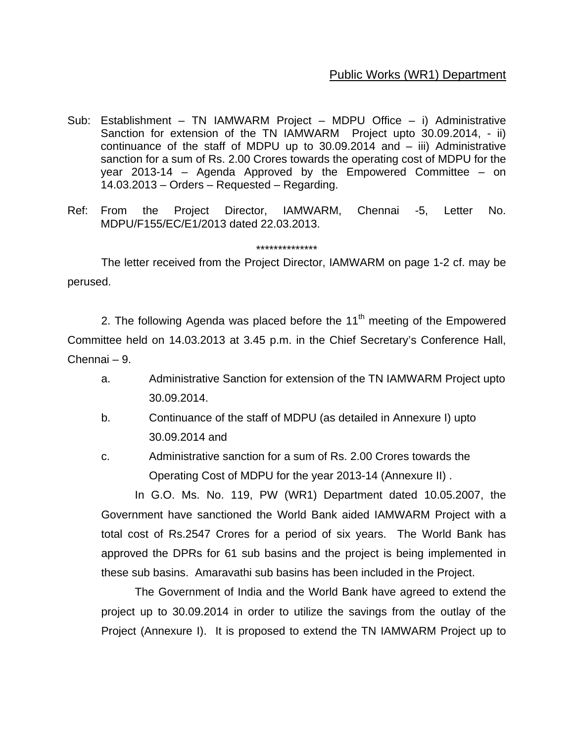# Public Works (WR1) Department

- Sub: Establishment TN IAMWARM Project MDPU Office i) Administrative Sanction for extension of the TN IAMWARM Project upto 30.09.2014, - ii) continuance of the staff of MDPU up to  $30.09.2014$  and  $-$  iii) Administrative sanction for a sum of Rs. 2.00 Crores towards the operating cost of MDPU for the year 2013-14 – Agenda Approved by the Empowered Committee – on 14.03.2013 – Orders – Requested – Regarding.
- Ref: From the Project Director, IAMWARM, Chennai -5, Letter No. MDPU/F155/EC/E1/2013 dated 22.03.2013.

### \*\*\*\*\*\*\*\*\*\*\*\*\*\*

 The letter received from the Project Director, IAMWARM on page 1-2 cf. may be perused.

2. The following Agenda was placed before the  $11<sup>th</sup>$  meeting of the Empowered Committee held on 14.03.2013 at 3.45 p.m. in the Chief Secretary's Conference Hall, Chennai – 9.

- a. Administrative Sanction for extension of the TN IAMWARM Project upto 30.09.2014.
- b. Continuance of the staff of MDPU (as detailed in Annexure I) upto 30.09.2014 and
- c. Administrative sanction for a sum of Rs. 2.00 Crores towards the Operating Cost of MDPU for the year 2013-14 (Annexure II) .

In G.O. Ms. No. 119, PW (WR1) Department dated 10.05.2007, the Government have sanctioned the World Bank aided IAMWARM Project with a total cost of Rs.2547 Crores for a period of six years. The World Bank has approved the DPRs for 61 sub basins and the project is being implemented in these sub basins. Amaravathi sub basins has been included in the Project.

The Government of India and the World Bank have agreed to extend the project up to 30.09.2014 in order to utilize the savings from the outlay of the Project (Annexure I). It is proposed to extend the TN IAMWARM Project up to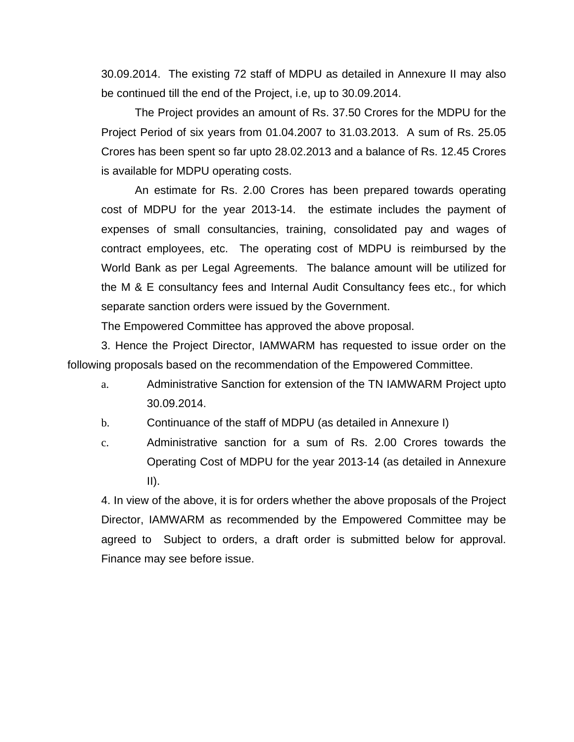30.09.2014. The existing 72 staff of MDPU as detailed in Annexure II may also be continued till the end of the Project, i.e, up to 30.09.2014.

The Project provides an amount of Rs. 37.50 Crores for the MDPU for the Project Period of six years from 01.04.2007 to 31.03.2013. A sum of Rs. 25.05 Crores has been spent so far upto 28.02.2013 and a balance of Rs. 12.45 Crores is available for MDPU operating costs.

An estimate for Rs. 2.00 Crores has been prepared towards operating cost of MDPU for the year 2013-14. the estimate includes the payment of expenses of small consultancies, training, consolidated pay and wages of contract employees, etc. The operating cost of MDPU is reimbursed by the World Bank as per Legal Agreements. The balance amount will be utilized for the M & E consultancy fees and Internal Audit Consultancy fees etc., for which separate sanction orders were issued by the Government.

The Empowered Committee has approved the above proposal.

3. Hence the Project Director, IAMWARM has requested to issue order on the following proposals based on the recommendation of the Empowered Committee.

a. Administrative Sanction for extension of the TN IAMWARM Project upto 30.09.2014.

b. Continuance of the staff of MDPU (as detailed in Annexure I)

c. Administrative sanction for a sum of Rs. 2.00 Crores towards the Operating Cost of MDPU for the year 2013-14 (as detailed in Annexure  $II$ ).

4. In view of the above, it is for orders whether the above proposals of the Project Director, IAMWARM as recommended by the Empowered Committee may be agreed to Subject to orders, a draft order is submitted below for approval. Finance may see before issue.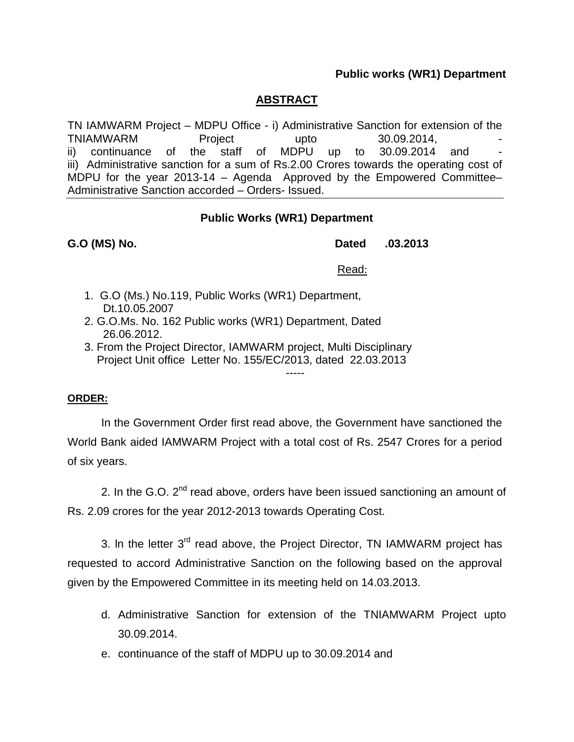## **Public works (WR1) Department**

# **ABSTRACT**

TN IAMWARM Project – MDPU Office - i) Administrative Sanction for extension of the TNIAMWARM Project upto 30.09.2014, ii) continuance of the staff of MDPU up to 30.09.2014 and iii) Administrative sanction for a sum of Rs.2.00 Crores towards the operating cost of MDPU for the year 2013-14 – Agenda Approved by the Empowered Committee– Administrative Sanction accorded – Orders- Issued.

## **Public Works (WR1) Department**

## **G.O (MS) No. Dated .03.2013**

## Read:

- 1. G.O (Ms.) No.119, Public Works (WR1) Department, Dt.10.05.2007
- 2. G.O.Ms. No. 162 Public works (WR1) Department, Dated 26.06.2012.
- 3. From the Project Director, IAMWARM project, Multi Disciplinary Project Unit office Letter No. 155/EC/2013, dated 22.03.2013

## **ORDER:**

 In the Government Order first read above, the Government have sanctioned the World Bank aided IAMWARM Project with a total cost of Rs. 2547 Crores for a period of six years.

-----

2. In the G.O.  $2^{nd}$  read above, orders have been issued sanctioning an amount of Rs. 2.09 crores for the year 2012-2013 towards Operating Cost.

3. In the letter  $3<sup>rd</sup>$  read above, the Project Director, TN IAMWARM project has requested to accord Administrative Sanction on the following based on the approval given by the Empowered Committee in its meeting held on 14.03.2013.

- d. Administrative Sanction for extension of the TNIAMWARM Project upto 30.09.2014.
- e. continuance of the staff of MDPU up to 30.09.2014 and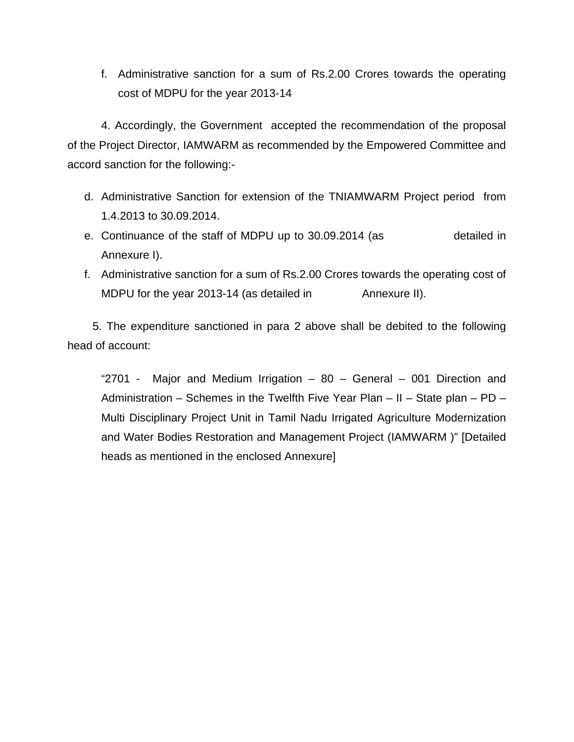f. Administrative sanction for a sum of Rs.2.00 Crores towards the operating cost of MDPU for the year 2013-14

4. Accordingly, the Government accepted the recommendation of the proposal of the Project Director, IAMWARM as recommended by the Empowered Committee and accord sanction for the following:-

- d. Administrative Sanction for extension of the TNIAMWARM Project period from 1.4.2013 to 30.09.2014.
- e. Continuance of the staff of MDPU up to 30.09.2014 (as detailed in Annexure I).
- f. Administrative sanction for a sum of Rs.2.00 Crores towards the operating cost of MDPU for the year 2013-14 (as detailed in Annexure II).

 5. The expenditure sanctioned in para 2 above shall be debited to the following head of account:

"2701 - Major and Medium Irrigation – 80 – General – 001 Direction and Administration – Schemes in the Twelfth Five Year Plan – II – State plan – PD – Multi Disciplinary Project Unit in Tamil Nadu Irrigated Agriculture Modernization and Water Bodies Restoration and Management Project (IAMWARM )" [Detailed heads as mentioned in the enclosed Annexure]